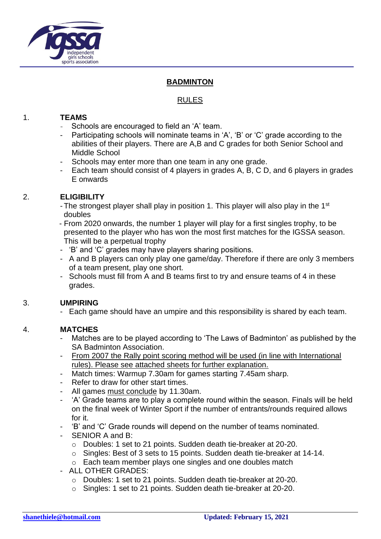

## **BADMINTON**

# RULES

## 1. **TEAMS**

- $\sim$  Schools are encouraged to field an 'A' team.
- Participating schools will nominate teams in 'A', 'B' or 'C' grade according to the abilities of their players. There are A,B and C grades for both Senior School and Middle School
- Schools may enter more than one team in any one grade.
- Each team should consist of 4 players in grades A, B, C D, and 6 players in grades E onwards

## 2. **ELIGIBILITY**

- The strongest player shall play in position 1. This player will also play in the 1<sup>st</sup> doubles
- From 2020 onwards, the number 1 player will play for a first singles trophy, to be presented to the player who has won the most first matches for the IGSSA season. This will be a perpetual trophy
- 'B' and 'C' grades may have players sharing positions.
- A and B players can only play one game/day. Therefore if there are only 3 members of a team present, play one short.
- Schools must fill from A and B teams first to try and ensure teams of 4 in these grades.

# 3. **UMPIRING**

- Each game should have an umpire and this responsibility is shared by each team.

# 4. **MATCHES**

- Matches are to be played according to 'The Laws of Badminton' as published by the SA Badminton Association.
- From 2007 the Rally point scoring method will be used (in line with International rules). Please see attached sheets for further explanation.
- Match times: Warmup 7.30am for games starting 7.45am sharp.
- Refer to draw for other start times.
- All games must conclude by 11.30am.
- 'A' Grade teams are to play a complete round within the season. Finals will be held on the final week of Winter Sport if the number of entrants/rounds required allows for it.
- 'B' and 'C' Grade rounds will depend on the number of teams nominated.
- SENIOR A and B:
	- o Doubles: 1 set to 21 points. Sudden death tie-breaker at 20-20.
	- o Singles: Best of 3 sets to 15 points. Sudden death tie-breaker at 14-14.
	- o Each team member plays one singles and one doubles match
- ALL OTHER GRADES:
	- o Doubles: 1 set to 21 points. Sudden death tie-breaker at 20-20.
	- o Singles: 1 set to 21 points. Sudden death tie-breaker at 20-20.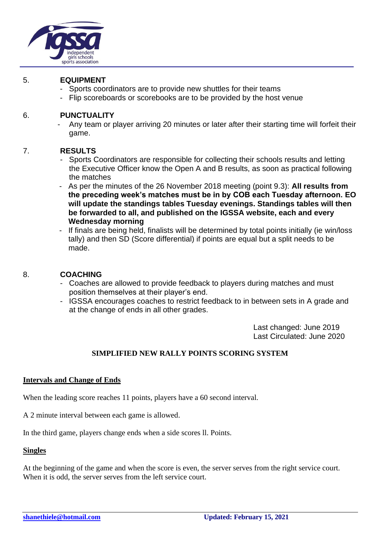

#### 5. **EQUIPMENT**

- Sports coordinators are to provide new shuttles for their teams
- Flip scoreboards or scorebooks are to be provided by the host venue

#### 6. **PUNCTUALITY**

- Any team or player arriving 20 minutes or later after their starting time will forfeit their game.

### 7. **RESULTS**

- Sports Coordinators are responsible for collecting their schools results and letting the Executive Officer know the Open A and B results, as soon as practical following the matches
- As per the minutes of the 26 November 2018 meeting (point 9.3): **All results from the preceding week's matches must be in by COB each Tuesday afternoon. EO will update the standings tables Tuesday evenings. Standings tables will then be forwarded to all, and published on the IGSSA website, each and every Wednesday morning**
- If finals are being held, finalists will be determined by total points initially (ie win/loss tally) and then SD (Score differential) if points are equal but a split needs to be made.

### 8. **COACHING**

- Coaches are allowed to provide feedback to players during matches and must position themselves at their player's end.
- IGSSA encourages coaches to restrict feedback to in between sets in A grade and at the change of ends in all other grades.

Last changed: June 2019 Last Circulated: June 2020

# **SIMPLIFIED NEW RALLY POINTS SCORING SYSTEM**

### **Intervals and Change of Ends**

When the leading score reaches 11 points, players have a 60 second interval.

A 2 minute interval between each game is allowed.

In the third game, players change ends when a side scores ll. Points.

#### **Singles**

At the beginning of the game and when the score is even, the server serves from the right service court. When it is odd, the server serves from the left service court.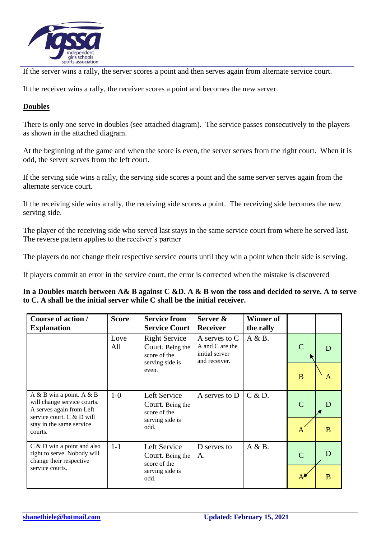

If the server wins a rally, the server scores a point and then serves again from alternate service court.

If the receiver wins a rally, the receiver scores a point and becomes the new server.

### **Doubles**

There is only one serve in doubles (see attached diagram). The service passes consecutively to the players as shown in the attached diagram.

At the beginning of the game and when the score is even, the server serves from the right court. When it is odd, the server serves from the left court.

If the serving side wins a rally, the serving side scores a point and the same server serves again from the alternate service court.

If the receiving side wins a rally, the receiving side scores a point. The receiving side becomes the new serving side.

The player of the receiving side who served last stays in the same service court from where he served last. The reverse pattern applies to the receiver's partner

The players do not change their respective service courts until they win a point when their side is serving.

If players commit an error in the service court, the error is corrected when the mistake is discovered

**In a Doubles match between A& B against C &D. A & B won the toss and decided to serve. A to serve to C. A shall be the initial server while C shall be the initial receiver.**

| Course of action /<br><b>Explanation</b>                                                                                                                      | <b>Score</b> | <b>Service from</b><br><b>Service Court</b>                                          | Server &<br><b>Receiver</b>                                         | <b>Winner of</b><br>the rally |                             |   |
|---------------------------------------------------------------------------------------------------------------------------------------------------------------|--------------|--------------------------------------------------------------------------------------|---------------------------------------------------------------------|-------------------------------|-----------------------------|---|
|                                                                                                                                                               | Love<br>All  | <b>Right Service</b><br>Court. Being the<br>score of the<br>serving side is<br>even. | A serves to C<br>A and C are the<br>initial server<br>and receiver. | A & B.                        |                             |   |
|                                                                                                                                                               |              |                                                                                      |                                                                     |                               | B                           | A |
| $A \& B$ win a point. $A \& B$<br>will change service courts.<br>A serves again from Left<br>service court. C & D will<br>stay in the same service<br>courts. | $1-0$        | Left Service<br>Court. Being the<br>score of the<br>serving side is<br>odd.          | A serves to D                                                       | C & D.                        | $\mathcal{C}_{\mathcal{C}}$ |   |
|                                                                                                                                                               |              |                                                                                      |                                                                     |                               | A                           | B |
| $C & D$ win a point and also<br>right to serve. Nobody will<br>change their respective<br>service courts.                                                     | $1 - 1$      | Left Service<br>Court. Being the<br>score of the<br>serving side is<br>odd.          | D serves to<br>A.                                                   | A & B.                        | C                           |   |
|                                                                                                                                                               |              |                                                                                      |                                                                     |                               |                             | B |